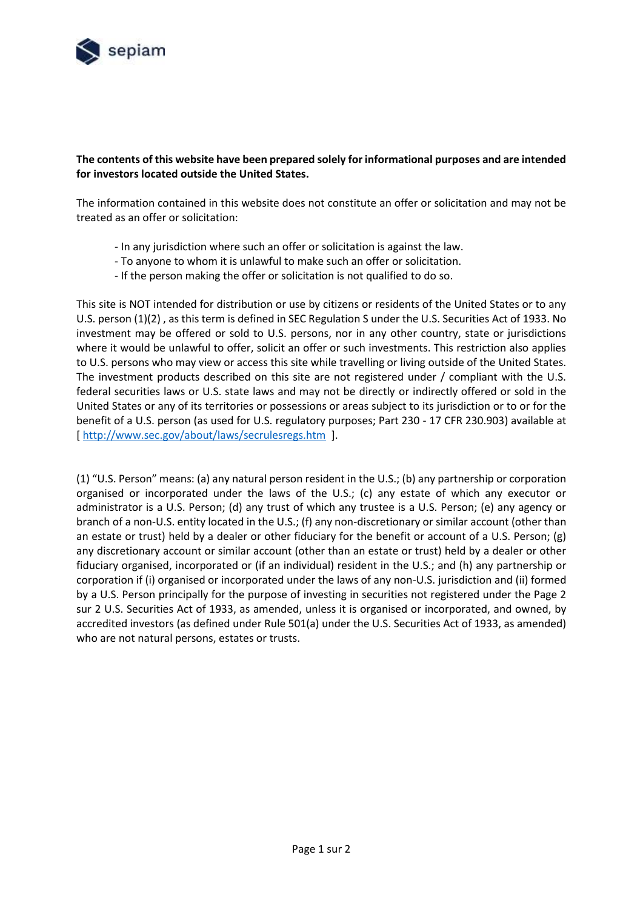

## **The contents of this website have been prepared solely for informational purposes and are intended for investors located outside the United States.**

The information contained in this website does not constitute an offer or solicitation and may not be treated as an offer or solicitation:

- In any jurisdiction where such an offer or solicitation is against the law.
- To anyone to whom it is unlawful to make such an offer or solicitation.
- If the person making the offer or solicitation is not qualified to do so.

This site is NOT intended for distribution or use by citizens or residents of the United States or to any U.S. person (1)(2) , as this term is defined in SEC Regulation S under the U.S. Securities Act of 1933. No investment may be offered or sold to U.S. persons, nor in any other country, state or jurisdictions where it would be unlawful to offer, solicit an offer or such investments. This restriction also applies to U.S. persons who may view or access this site while travelling or living outside of the United States. The investment products described on this site are not registered under / compliant with the U.S. federal securities laws or U.S. state laws and may not be directly or indirectly offered or sold in the United States or any of its territories or possessions or areas subject to its jurisdiction or to or for the benefit of a U.S. person (as used for U.S. regulatory purposes; Part 230 - 17 CFR 230.903) available at [\[ http://www.sec.gov/about/laws/secrulesregs.htm](http://www.sec.gov/about/laws/secrulesregs.htm) ].

(1) "U.S. Person" means: (a) any natural person resident in the U.S.; (b) any partnership or corporation organised or incorporated under the laws of the U.S.; (c) any estate of which any executor or administrator is a U.S. Person; (d) any trust of which any trustee is a U.S. Person; (e) any agency or branch of a non-U.S. entity located in the U.S.; (f) any non-discretionary or similar account (other than an estate or trust) held by a dealer or other fiduciary for the benefit or account of a U.S. Person; (g) any discretionary account or similar account (other than an estate or trust) held by a dealer or other fiduciary organised, incorporated or (if an individual) resident in the U.S.; and (h) any partnership or corporation if (i) organised or incorporated under the laws of any non-U.S. jurisdiction and (ii) formed by a U.S. Person principally for the purpose of investing in securities not registered under the Page 2 sur 2 U.S. Securities Act of 1933, as amended, unless it is organised or incorporated, and owned, by accredited investors (as defined under Rule 501(a) under the U.S. Securities Act of 1933, as amended) who are not natural persons, estates or trusts.